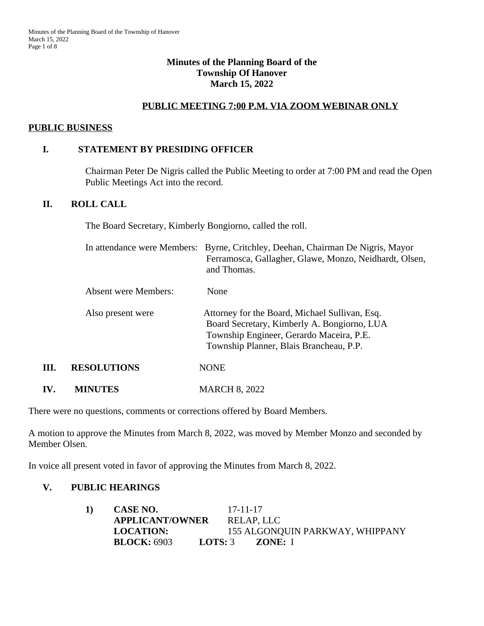## **Minutes of the Planning Board of the Township Of Hanover March 15, 2022**

# **PUBLIC MEETING 7:00 P.M. VIA ZOOM WEBINAR ONLY**

#### **PUBLIC BUSINESS**

#### **I. STATEMENT BY PRESIDING OFFICER**

Chairman Peter De Nigris called the Public Meeting to order at 7:00 PM and read the Open Public Meetings Act into the record.

#### **II. ROLL CALL**

The Board Secretary, Kimberly Bongiorno, called the roll.

|      |                      | In attendance were Members: Byrne, Critchley, Deehan, Chairman De Nigris, Mayor<br>Ferramosca, Gallagher, Glawe, Monzo, Neidhardt, Olsen,<br>and Thomas.                             |  |  |
|------|----------------------|--------------------------------------------------------------------------------------------------------------------------------------------------------------------------------------|--|--|
|      | Absent were Members: | None                                                                                                                                                                                 |  |  |
|      | Also present were    | Attorney for the Board, Michael Sullivan, Esq.<br>Board Secretary, Kimberly A. Bongiorno, LUA<br>Township Engineer, Gerardo Maceira, P.E.<br>Township Planner, Blais Brancheau, P.P. |  |  |
| III. | <b>RESOLUTIONS</b>   | <b>NONE</b>                                                                                                                                                                          |  |  |
| IV.  | <b>MINUTES</b>       | <b>MARCH 8, 2022</b>                                                                                                                                                                 |  |  |

There were no questions, comments or corrections offered by Board Members.

A motion to approve the Minutes from March 8, 2022, was moved by Member Monzo and seconded by Member Olsen.

In voice all present voted in favor of approving the Minutes from March 8, 2022.

# **V. PUBLIC HEARINGS**

| 1) | CASE NO.               |                  | $17 - 11 - 17$                  |  |
|----|------------------------|------------------|---------------------------------|--|
|    | <b>APPLICANT/OWNER</b> |                  | RELAP, LLC                      |  |
|    | <b>LOCATION:</b>       |                  | 155 ALGONQUIN PARKWAY, WHIPPANY |  |
|    | <b>BLOCK: 6903</b>     | <b>LOTS:</b> $3$ | ZONE: I                         |  |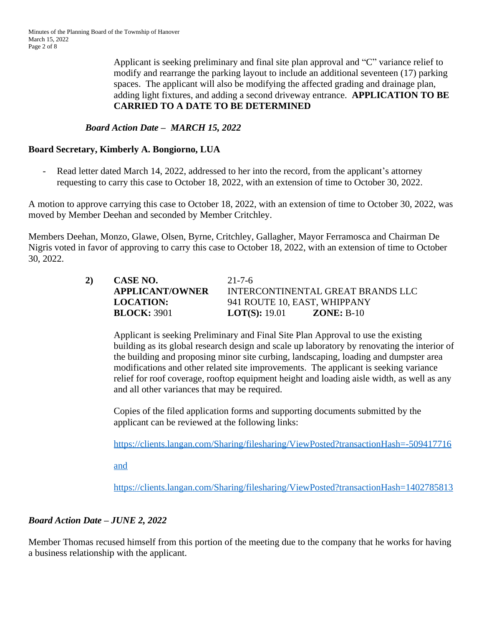Applicant is seeking preliminary and final site plan approval and "C" variance relief to modify and rearrange the parking layout to include an additional seventeen (17) parking spaces. The applicant will also be modifying the affected grading and drainage plan, adding light fixtures, and adding a second driveway entrance. **APPLICATION TO BE CARRIED TO A DATE TO BE DETERMINED**

# *Board Action Date – MARCH 15, 2022*

## **Board Secretary, Kimberly A. Bongiorno, LUA**

Read letter dated March 14, 2022, addressed to her into the record, from the applicant's attorney requesting to carry this case to October 18, 2022, with an extension of time to October 30, 2022.

A motion to approve carrying this case to October 18, 2022, with an extension of time to October 30, 2022, was moved by Member Deehan and seconded by Member Critchley.

Members Deehan, Monzo, Glawe, Olsen, Byrne, Critchley, Gallagher, Mayor Ferramosca and Chairman De Nigris voted in favor of approving to carry this case to October 18, 2022, with an extension of time to October 30, 2022.

| 2) |  |
|----|--|
|    |  |
|    |  |

**2) CASE NO.** 21-7-6 **APPLICANT/OWNER** INTERCONTINENTAL GREAT BRANDS LLC **LOCATION:** 941 ROUTE 10, EAST, WHIPPANY **BLOCK:** 3901 **LOT(S):** 19.01 **ZONE:** B-10

Applicant is seeking Preliminary and Final Site Plan Approval to use the existing building as its global research design and scale up laboratory by renovating the interior of the building and proposing minor site curbing, landscaping, loading and dumpster area modifications and other related site improvements. The applicant is seeking variance relief for roof coverage, rooftop equipment height and loading aisle width, as well as any and all other variances that may be required.

Copies of the filed application forms and supporting documents submitted by the applicant can be reviewed at the following links:

<https://clients.langan.com/Sharing/filesharing/ViewPosted?transactionHash=-509417716>

and

<https://clients.langan.com/Sharing/filesharing/ViewPosted?transactionHash=1402785813>

# *Board Action Date – JUNE 2, 2022*

Member Thomas recused himself from this portion of the meeting due to the company that he works for having a business relationship with the applicant.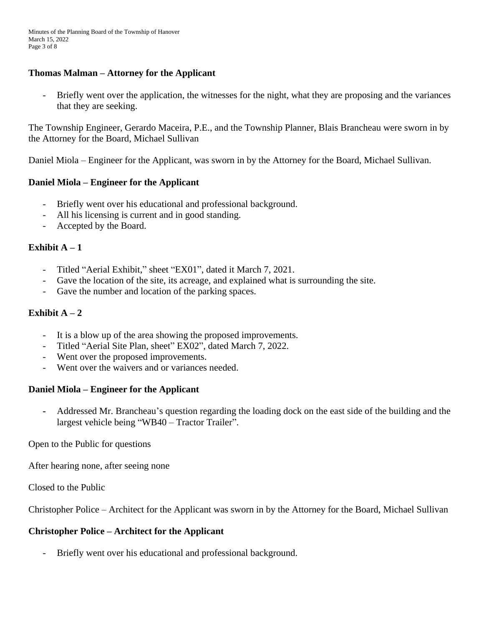## **Thomas Malman – Attorney for the Applicant**

- Briefly went over the application, the witnesses for the night, what they are proposing and the variances that they are seeking.

The Township Engineer, Gerardo Maceira, P.E., and the Township Planner, Blais Brancheau were sworn in by the Attorney for the Board, Michael Sullivan

Daniel Miola – Engineer for the Applicant, was sworn in by the Attorney for the Board, Michael Sullivan.

# **Daniel Miola – Engineer for the Applicant**

- Briefly went over his educational and professional background.
- All his licensing is current and in good standing.
- Accepted by the Board.

## **Exhibit**  $A - 1$

- Titled "Aerial Exhibit," sheet "EX01", dated it March 7, 2021.<br>- Gave the location of the site its acreage and explained what is
- Gave the location of the site, its acreage, and explained what is surrounding the site.
- Gave the number and location of the parking spaces.

## **Exhibit A**  $-2$

- It is a blow up of the area showing the proposed improvements.
- Titled "Aerial Site Plan, sheet" EX02", dated March 7, 2022.
- Went over the proposed improvements.
- Went over the waivers and or variances needed.

# **Daniel Miola – Engineer for the Applicant**

**-** Addressed Mr. Brancheau's question regarding the loading dock on the east side of the building and the largest vehicle being "WB40 – Tractor Trailer".

Open to the Public for questions

After hearing none, after seeing none

Closed to the Public

Christopher Police – Architect for the Applicant was sworn in by the Attorney for the Board, Michael Sullivan

#### **Christopher Police – Architect for the Applicant**

Briefly went over his educational and professional background.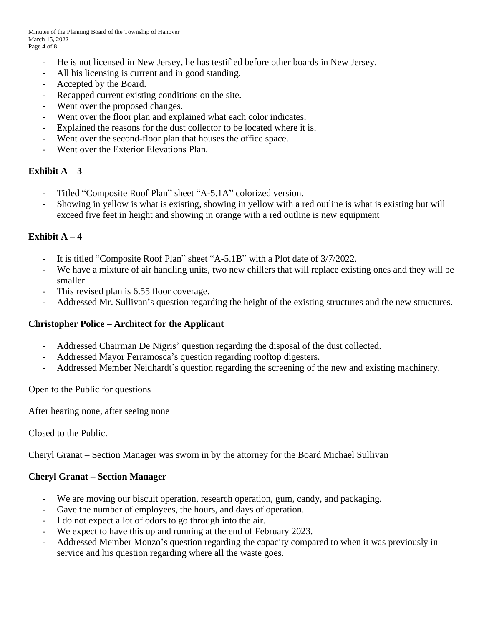- He is not licensed in New Jersey, he has testified before other boards in New Jersey.
- All his licensing is current and in good standing.
- Accepted by the Board.
- Recapped current existing conditions on the site.
- Went over the proposed changes.
- Went over the floor plan and explained what each color indicates.
- Explained the reasons for the dust collector to be located where it is.
- Went over the second-floor plan that houses the office space.
- Went over the Exterior Elevations Plan.

## **Exhibit A**  $-3$

- **-** Titled "Composite Roof Plan" sheet "A-5.1A" colorized version.
- Showing in yellow is what is existing, showing in yellow with a red outline is what is existing but will exceed five feet in height and showing in orange with a red outline is new equipment

## **Exhibit A**  $-4$

- It is titled "Composite Roof Plan" sheet "A-5.1B" with a Plot date of 3/7/2022.
- We have a mixture of air handling units, two new chillers that will replace existing ones and they will be smaller.
- This revised plan is 6.55 floor coverage.
- Addressed Mr. Sullivan's question regarding the height of the existing structures and the new structures.

#### **Christopher Police – Architect for the Applicant**

- Addressed Chairman De Nigris' question regarding the disposal of the dust collected.
- Addressed Mayor Ferramosca's question regarding rooftop digesters.
- Addressed Member Neidhardt's question regarding the screening of the new and existing machinery.

Open to the Public for questions

After hearing none, after seeing none

Closed to the Public.

Cheryl Granat – Section Manager was sworn in by the attorney for the Board Michael Sullivan

#### **Cheryl Granat – Section Manager**

- We are moving our biscuit operation, research operation, gum, candy, and packaging.
- Gave the number of employees, the hours, and days of operation.
- I do not expect a lot of odors to go through into the air.
- We expect to have this up and running at the end of February 2023.
- Addressed Member Monzo's question regarding the capacity compared to when it was previously in service and his question regarding where all the waste goes.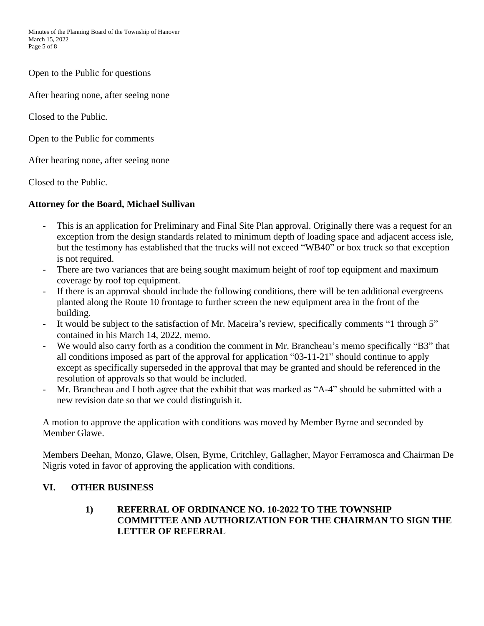Open to the Public for questions

After hearing none, after seeing none

Closed to the Public.

Open to the Public for comments

After hearing none, after seeing none

Closed to the Public.

# **Attorney for the Board, Michael Sullivan**

- This is an application for Preliminary and Final Site Plan approval. Originally there was a request for an exception from the design standards related to minimum depth of loading space and adjacent access isle, but the testimony has established that the trucks will not exceed "WB40" or box truck so that exception is not required.
- There are two variances that are being sought maximum height of roof top equipment and maximum coverage by roof top equipment.
- If there is an approval should include the following conditions, there will be ten additional evergreens planted along the Route 10 frontage to further screen the new equipment area in the front of the building.
- It would be subject to the satisfaction of Mr. Maceira's review, specifically comments "1 through 5" contained in his March 14, 2022, memo.
- We would also carry forth as a condition the comment in Mr. Brancheau's memo specifically "B3" that all conditions imposed as part of the approval for application "03-11-21" should continue to apply except as specifically superseded in the approval that may be granted and should be referenced in the resolution of approvals so that would be included.
- Mr. Brancheau and I both agree that the exhibit that was marked as "A-4" should be submitted with a new revision date so that we could distinguish it.

A motion to approve the application with conditions was moved by Member Byrne and seconded by Member Glawe.

Members Deehan, Monzo, Glawe, Olsen, Byrne, Critchley, Gallagher, Mayor Ferramosca and Chairman De Nigris voted in favor of approving the application with conditions.

# **VI. OTHER BUSINESS**

## **1) REFERRAL OF ORDINANCE NO. 10-2022 TO THE TOWNSHIP COMMITTEE AND AUTHORIZATION FOR THE CHAIRMAN TO SIGN THE LETTER OF REFERRAL**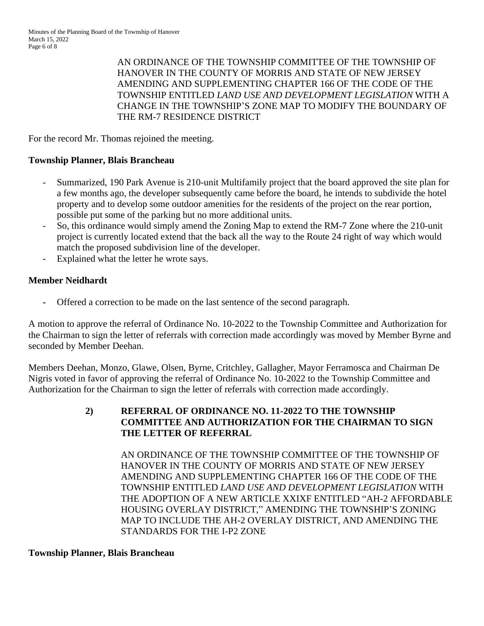AN ORDINANCE OF THE TOWNSHIP COMMITTEE OF THE TOWNSHIP OF HANOVER IN THE COUNTY OF MORRIS AND STATE OF NEW JERSEY AMENDING AND SUPPLEMENTING CHAPTER 166 OF THE CODE OF THE TOWNSHIP ENTITLED *LAND USE AND DEVELOPMENT LEGISLATION* WITH A CHANGE IN THE TOWNSHIP'S ZONE MAP TO MODIFY THE BOUNDARY OF THE RM-7 RESIDENCE DISTRICT

For the record Mr. Thomas rejoined the meeting.

# **Township Planner, Blais Brancheau**

- Summarized, 190 Park Avenue is 210-unit Multifamily project that the board approved the site plan for a few months ago, the developer subsequently came before the board, he intends to subdivide the hotel property and to develop some outdoor amenities for the residents of the project on the rear portion, possible put some of the parking but no more additional units.
- So, this ordinance would simply amend the Zoning Map to extend the RM-7 Zone where the 210-unit project is currently located extend that the back all the way to the Route 24 right of way which would match the proposed subdivision line of the developer.
- Explained what the letter he wrote says.

# **Member Neidhardt**

**-** Offered a correction to be made on the last sentence of the second paragraph.

A motion to approve the referral of Ordinance No. 10-2022 to the Township Committee and Authorization for the Chairman to sign the letter of referrals with correction made accordingly was moved by Member Byrne and seconded by Member Deehan.

Members Deehan, Monzo, Glawe, Olsen, Byrne, Critchley, Gallagher, Mayor Ferramosca and Chairman De Nigris voted in favor of approving the referral of Ordinance No. 10-2022 to the Township Committee and Authorization for the Chairman to sign the letter of referrals with correction made accordingly.

> **2) REFERRAL OF ORDINANCE NO. 11-2022 TO THE TOWNSHIP COMMITTEE AND AUTHORIZATION FOR THE CHAIRMAN TO SIGN THE LETTER OF REFERRAL**

> > AN ORDINANCE OF THE TOWNSHIP COMMITTEE OF THE TOWNSHIP OF HANOVER IN THE COUNTY OF MORRIS AND STATE OF NEW JERSEY AMENDING AND SUPPLEMENTING CHAPTER 166 OF THE CODE OF THE TOWNSHIP ENTITLED *LAND USE AND DEVELOPMENT LEGISLATION* WITH THE ADOPTION OF A NEW ARTICLE XXIXF ENTITLED "AH-2 AFFORDABLE HOUSING OVERLAY DISTRICT," AMENDING THE TOWNSHIP'S ZONING MAP TO INCLUDE THE AH-2 OVERLAY DISTRICT, AND AMENDING THE STANDARDS FOR THE I-P2 ZONE

#### **Township Planner, Blais Brancheau**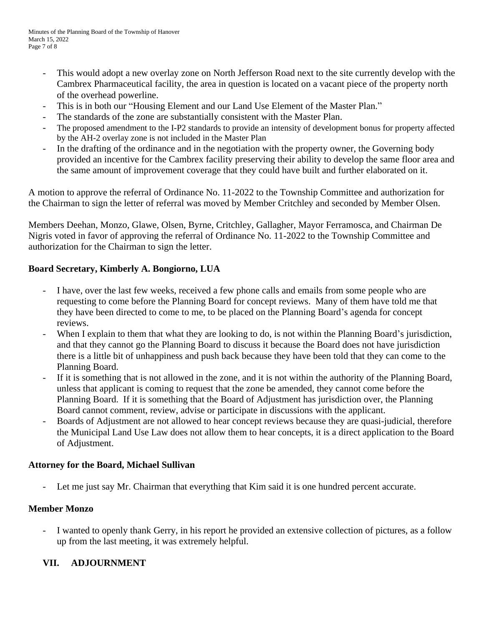- This would adopt a new overlay zone on North Jefferson Road next to the site currently develop with the Cambrex Pharmaceutical facility, the area in question is located on a vacant piece of the property north of the overhead powerline.
- This is in both our "Housing Element and our Land Use Element of the Master Plan."
- The standards of the zone are substantially consistent with the Master Plan.
- The proposed amendment to the I-P2 standards to provide an intensity of development bonus for property affected by the AH-2 overlay zone is not included in the Master Plan
- In the drafting of the ordinance and in the negotiation with the property owner, the Governing body provided an incentive for the Cambrex facility preserving their ability to develop the same floor area and the same amount of improvement coverage that they could have built and further elaborated on it.

A motion to approve the referral of Ordinance No. 11-2022 to the Township Committee and authorization for the Chairman to sign the letter of referral was moved by Member Critchley and seconded by Member Olsen.

Members Deehan, Monzo, Glawe, Olsen, Byrne, Critchley, Gallagher, Mayor Ferramosca, and Chairman De Nigris voted in favor of approving the referral of Ordinance No. 11-2022 to the Township Committee and authorization for the Chairman to sign the letter.

# **Board Secretary, Kimberly A. Bongiorno, LUA**

- I have, over the last few weeks, received a few phone calls and emails from some people who are requesting to come before the Planning Board for concept reviews. Many of them have told me that they have been directed to come to me, to be placed on the Planning Board's agenda for concept reviews.
- When I explain to them that what they are looking to do, is not within the Planning Board's jurisdiction, and that they cannot go the Planning Board to discuss it because the Board does not have jurisdiction there is a little bit of unhappiness and push back because they have been told that they can come to the Planning Board.
- If it is something that is not allowed in the zone, and it is not within the authority of the Planning Board, unless that applicant is coming to request that the zone be amended, they cannot come before the Planning Board. If it is something that the Board of Adjustment has jurisdiction over, the Planning Board cannot comment, review, advise or participate in discussions with the applicant.
- Boards of Adjustment are not allowed to hear concept reviews because they are quasi-judicial, therefore the Municipal Land Use Law does not allow them to hear concepts, it is a direct application to the Board of Adjustment.

# **Attorney for the Board, Michael Sullivan**

Let me just say Mr. Chairman that everything that Kim said it is one hundred percent accurate.

# **Member Monzo**

- I wanted to openly thank Gerry, in his report he provided an extensive collection of pictures, as a follow up from the last meeting, it was extremely helpful.

# **VII. ADJOURNMENT**